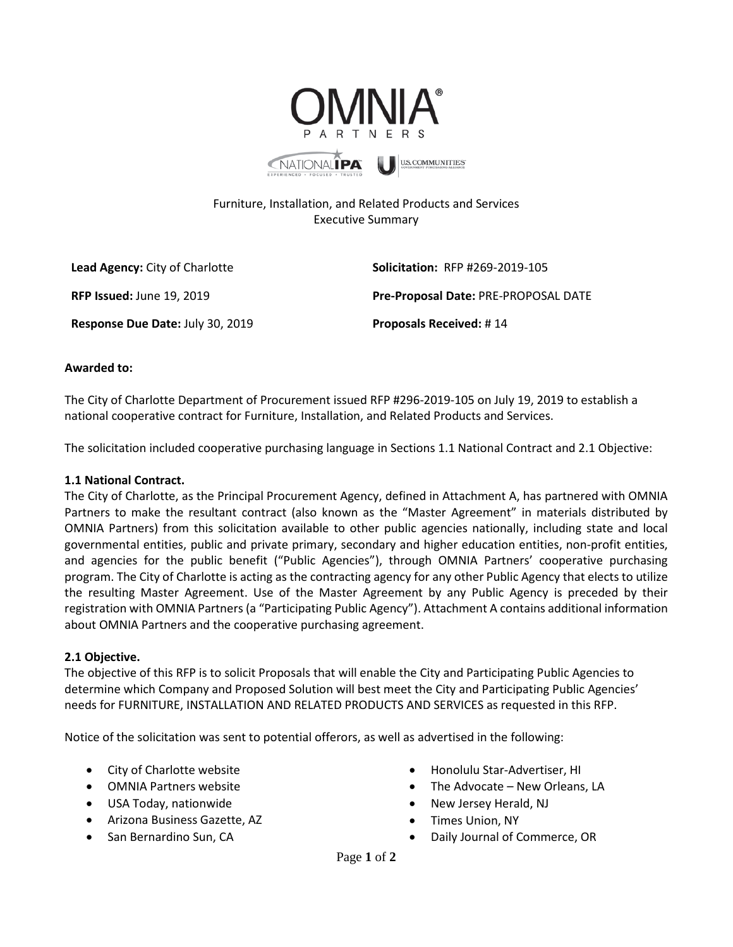

## Furniture, Installation, and Related Products and Services Executive Summary

**Lead Agency:** City of Charlotte **Solicitation:** RFP #269-2019-105

**Response Due Date:** July 30, 2019 **Proposals Received:** # 14

**RFP Issued:** June 19, 2019 **Pre-Proposal Date:** PRE-PROPOSAL DATE

## **Awarded to:**

The City of Charlotte Department of Procurement issued RFP #296-2019-105 on July 19, 2019 to establish a national cooperative contract for Furniture, Installation, and Related Products and Services.

The solicitation included cooperative purchasing language in Sections 1.1 National Contract and 2.1 Objective:

## **1.1 National Contract.**

The City of Charlotte, as the Principal Procurement Agency, defined in Attachment A, has partnered with OMNIA Partners to make the resultant contract (also known as the "Master Agreement" in materials distributed by OMNIA Partners) from this solicitation available to other public agencies nationally, including state and local governmental entities, public and private primary, secondary and higher education entities, non-profit entities, and agencies for the public benefit ("Public Agencies"), through OMNIA Partners' cooperative purchasing program. The City of Charlotte is acting as the contracting agency for any other Public Agency that elects to utilize the resulting Master Agreement. Use of the Master Agreement by any Public Agency is preceded by their registration with OMNIA Partners (a "Participating Public Agency"). Attachment A contains additional information about OMNIA Partners and the cooperative purchasing agreement.

## **2.1 Objective.**

The objective of this RFP is to solicit Proposals that will enable the City and Participating Public Agencies to determine which Company and Proposed Solution will best meet the City and Participating Public Agencies' needs for FURNITURE, INSTALLATION AND RELATED PRODUCTS AND SERVICES as requested in this RFP.

Notice of the solicitation was sent to potential offerors, as well as advertised in the following:

- City of Charlotte website
- OMNIA Partners website
- USA Today, nationwide
- Arizona Business Gazette, AZ
- San Bernardino Sun, CA
- Honolulu Star-Advertiser, HI
- The Advocate New Orleans, LA
- New Jersey Herald, NJ
- Times Union, NY
- Daily Journal of Commerce, OR

Page **1** of **2**